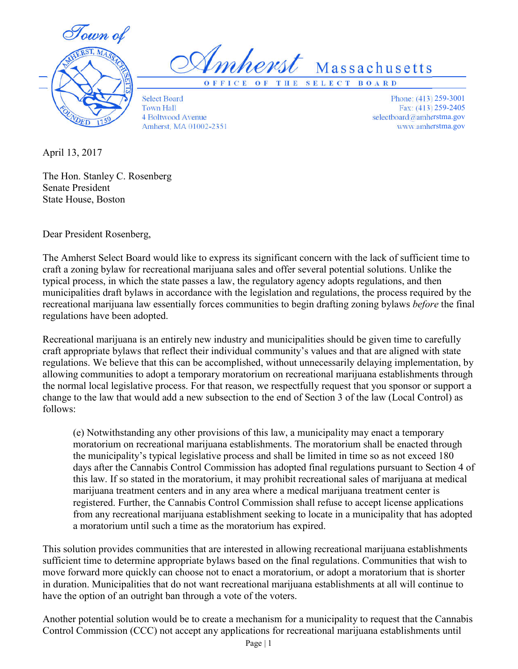

Imherst Massachusetts

**O F F I C E O F T H E S E L E C T B O A R D**

Select Board Town Hall 4 Boltwood Avenue Amherst, MA 01002-2351

Phone: (413) 259-3001 Fax: (413) 259-2405 selectboard@amherstma.gov www.amherstma.gov

April 13, 2017

The Hon. Stanley C. Rosenberg Senate President State House, Boston

Dear President Rosenberg,

The Amherst Select Board would like to express its significant concern with the lack of sufficient time to craft a zoning bylaw for recreational marijuana sales and offer several potential solutions. Unlike the typical process, in which the state passes a law, the regulatory agency adopts regulations, and then municipalities draft bylaws in accordance with the legislation and regulations, the process required by the recreational marijuana law essentially forces communities to begin drafting zoning bylaws *before* the final regulations have been adopted.

Recreational marijuana is an entirely new industry and municipalities should be given time to carefully craft appropriate bylaws that reflect their individual community's values and that are aligned with state regulations. We believe that this can be accomplished, without unnecessarily delaying implementation, by allowing communities to adopt a temporary moratorium on recreational marijuana establishments through the normal local legislative process. For that reason, we respectfully request that you sponsor or support a change to the law that would add a new subsection to the end of Section 3 of the law (Local Control) as follows:

(e) Notwithstanding any other provisions of this law, a municipality may enact a temporary moratorium on recreational marijuana establishments. The moratorium shall be enacted through the municipality's typical legislative process and shall be limited in time so as not exceed 180 days after the Cannabis Control Commission has adopted final regulations pursuant to Section 4 of this law. If so stated in the moratorium, it may prohibit recreational sales of marijuana at medical marijuana treatment centers and in any area where a medical marijuana treatment center is registered. Further, the Cannabis Control Commission shall refuse to accept license applications from any recreational marijuana establishment seeking to locate in a municipality that has adopted a moratorium until such a time as the moratorium has expired.

This solution provides communities that are interested in allowing recreational marijuana establishments sufficient time to determine appropriate bylaws based on the final regulations. Communities that wish to move forward more quickly can choose not to enact a moratorium, or adopt a moratorium that is shorter in duration. Municipalities that do not want recreational marijuana establishments at all will continue to have the option of an outright ban through a vote of the voters.

Another potential solution would be to create a mechanism for a municipality to request that the Cannabis Control Commission (CCC) not accept any applications for recreational marijuana establishments until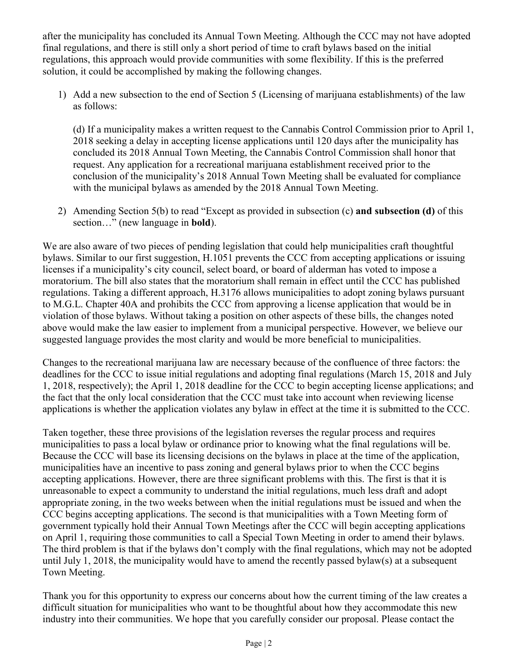after the municipality has concluded its Annual Town Meeting. Although the CCC may not have adopted final regulations, and there is still only a short period of time to craft bylaws based on the initial regulations, this approach would provide communities with some flexibility. If this is the preferred solution, it could be accomplished by making the following changes.

1) Add a new subsection to the end of Section 5 (Licensing of marijuana establishments) of the law as follows:

(d) If a municipality makes a written request to the Cannabis Control Commission prior to April 1, 2018 seeking a delay in accepting license applications until 120 days after the municipality has concluded its 2018 Annual Town Meeting, the Cannabis Control Commission shall honor that request. Any application for a recreational marijuana establishment received prior to the conclusion of the municipality's 2018 Annual Town Meeting shall be evaluated for compliance with the municipal bylaws as amended by the 2018 Annual Town Meeting.

2) Amending Section 5(b) to read "Except as provided in subsection (c) **and subsection (d)** of this section…" (new language in **bold**).

We are also aware of two pieces of pending legislation that could help municipalities craft thoughtful bylaws. Similar to our first suggestion, H.1051 prevents the CCC from accepting applications or issuing licenses if a municipality's city council, select board, or board of alderman has voted to impose a moratorium. The bill also states that the moratorium shall remain in effect until the CCC has published regulations. Taking a different approach, H.3176 allows municipalities to adopt zoning bylaws pursuant to M.G.L. Chapter 40A and prohibits the CCC from approving a license application that would be in violation of those bylaws. Without taking a position on other aspects of these bills, the changes noted above would make the law easier to implement from a municipal perspective. However, we believe our suggested language provides the most clarity and would be more beneficial to municipalities.

Changes to the recreational marijuana law are necessary because of the confluence of three factors: the deadlines for the CCC to issue initial regulations and adopting final regulations (March 15, 2018 and July 1, 2018, respectively); the April 1, 2018 deadline for the CCC to begin accepting license applications; and the fact that the only local consideration that the CCC must take into account when reviewing license applications is whether the application violates any bylaw in effect at the time it is submitted to the CCC.

Taken together, these three provisions of the legislation reverses the regular process and requires municipalities to pass a local bylaw or ordinance prior to knowing what the final regulations will be. Because the CCC will base its licensing decisions on the bylaws in place at the time of the application, municipalities have an incentive to pass zoning and general bylaws prior to when the CCC begins accepting applications. However, there are three significant problems with this. The first is that it is unreasonable to expect a community to understand the initial regulations, much less draft and adopt appropriate zoning, in the two weeks between when the initial regulations must be issued and when the CCC begins accepting applications. The second is that municipalities with a Town Meeting form of government typically hold their Annual Town Meetings after the CCC will begin accepting applications on April 1, requiring those communities to call a Special Town Meeting in order to amend their bylaws. The third problem is that if the bylaws don't comply with the final regulations, which may not be adopted until July 1, 2018, the municipality would have to amend the recently passed bylaw(s) at a subsequent Town Meeting.

Thank you for this opportunity to express our concerns about how the current timing of the law creates a difficult situation for municipalities who want to be thoughtful about how they accommodate this new industry into their communities. We hope that you carefully consider our proposal. Please contact the